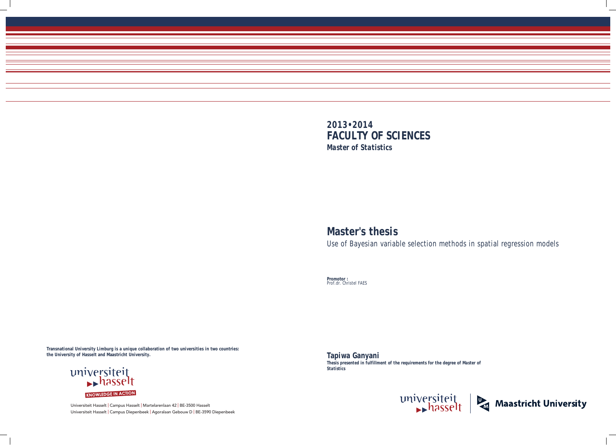Universiteit Hasselt | Campus Hasselt | Martelarenlaan 42 | BE-3500 Hasselt Universiteit Hasselt | Campus Diepenbeek | Agoralaan Gebouw D | BE-3590 Diepenbeek



# **Master's thesis**

Use of Bayesian variable selection methods in spatial regression models

**Promotor :** Prof.dr. Christel FAES

**Tapiwa Ganyani**  *Thesis presented in fulfillment of the requirements for the degree of Master of Statistics*





**Transnational University Limburg is a unique collaboration of two universities in two countries: the University of Hasselt and Maastricht University.**

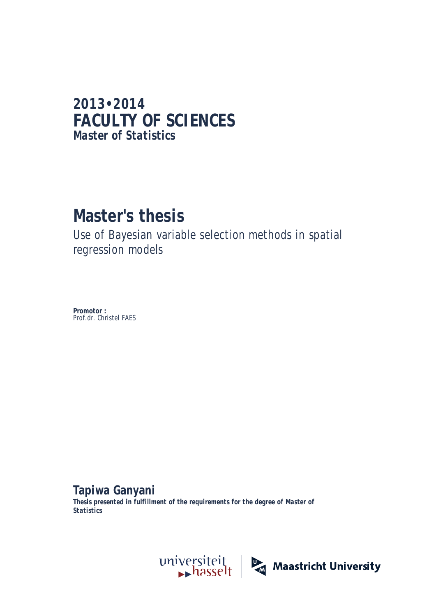### **2013•2014 FACULTY OF SCIENCES** *Master of Statistics*

## **Master's thesis**

Use of Bayesian variable selection methods in spatial regression models

**Promotor :** Prof.dr. Christel FAES

**Tapiwa Ganyani**  *Thesis presented in fulfillment of the requirements for the degree of Master of Statistics*

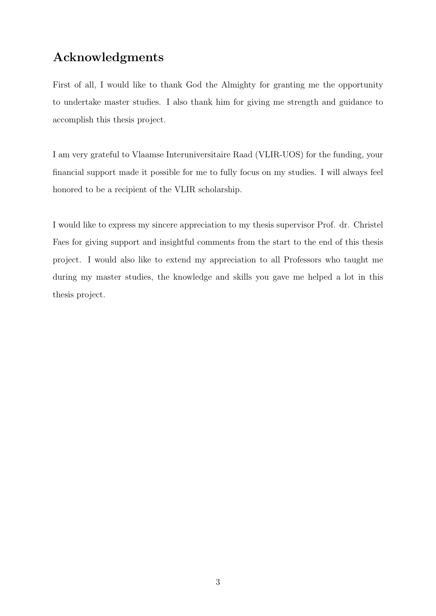### Acknowledgments

First of all, I would like to thank God the Almighty for granting me the opportunity to undertake master studies. I also thank him for giving me strength and guidance to accomplish this thesis project.

I am very grateful to Vlaamse Interuniversitaire Raad (VLIR-UOS) for the funding, your financial support made it possible for me to fully focus on my studies. I will always feel honored to be a recipient of the VLIR scholarship.

I would like to express my sincere appreciation to my thesis supervisor Prof. dr. Christel Faes for giving support and insightful comments from the start to the end of this thesis project. I would also like to extend my appreciation to all Professors who taught me during my master studies, the knowledge and skills you gave me helped a lot in this thesis project.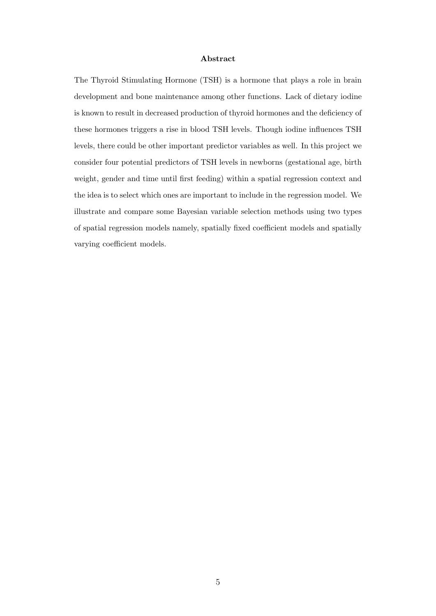#### Abstract

The Thyroid Stimulating Hormone (TSH) is a hormone that plays a role in brain development and bone maintenance among other functions. Lack of dietary iodine is known to result in decreased production of thyroid hormones and the deficiency of these hormones triggers a rise in blood TSH levels. Though iodine influences TSH levels, there could be other important predictor variables as well. In this project we consider four potential predictors of TSH levels in newborns (gestational age, birth weight, gender and time until first feeding) within a spatial regression context and the idea is to select which ones are important to include in the regression model. We illustrate and compare some Bayesian variable selection methods using two types of spatial regression models namely, spatially fixed coefficient models and spatially varying coefficient models.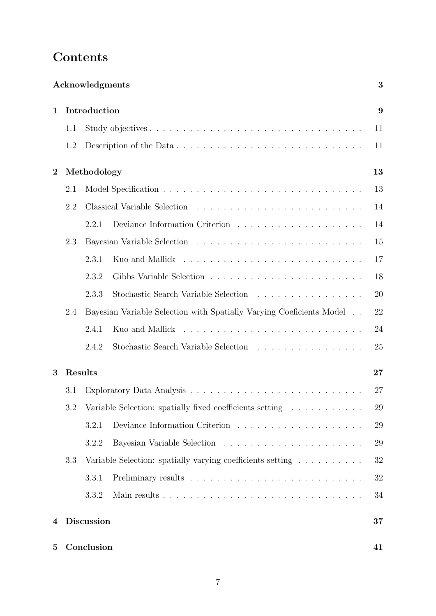### Contents

|             |     | Acknowledgments   |                                                                                   | 3  |
|-------------|-----|-------------------|-----------------------------------------------------------------------------------|----|
| $\mathbf 1$ |     | Introduction      |                                                                                   | 9  |
|             | 1.1 |                   |                                                                                   | 11 |
|             | 1.2 |                   |                                                                                   | 11 |
| $\bf{2}$    |     | Methodology       |                                                                                   | 13 |
|             | 2.1 |                   |                                                                                   | 13 |
|             | 2.2 |                   | Classical Variable Selection                                                      | 14 |
|             |     | 2.2.1             | Deviance Information Criterion $\ldots \ldots \ldots \ldots \ldots \ldots \ldots$ | 14 |
|             | 2.3 |                   |                                                                                   | 15 |
|             |     | 2.3.1             | Kuo and Mallick                                                                   | 17 |
|             |     | 2.3.2             |                                                                                   | 18 |
|             |     | 2.3.3             | Stochastic Search Variable Selection                                              | 20 |
|             | 2.4 |                   | Bayesian Variable Selection with Spatially Varying Coeficients Model              | 22 |
|             |     | 2.4.1             | Kuo and Mallick                                                                   | 24 |
|             |     | 2.4.2             |                                                                                   | 25 |
| 3           |     | Results           |                                                                                   | 27 |
|             | 3.1 |                   |                                                                                   | 27 |
|             | 3.2 |                   | Variable Selection: spatially fixed coefficients setting                          | 29 |
|             |     | 3.2.1             |                                                                                   | 29 |
|             |     | 3.2.2             |                                                                                   | 29 |
|             | 3.3 |                   | Variable Selection: spatially varying coefficients setting                        | 32 |
|             |     | 3.3.1             |                                                                                   | 32 |
|             |     | 3.3.2             |                                                                                   | 34 |
| 4           |     | <b>Discussion</b> |                                                                                   | 37 |
| 5           |     | Conclusion        |                                                                                   | 41 |
|             |     |                   |                                                                                   |    |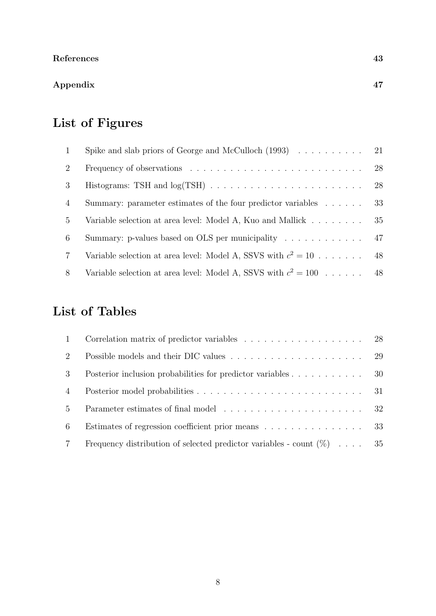### Appendix 47

### List of Figures

| $\mathbf{1}$   | Spike and slab priors of George and McCulloch $(1993) \ldots \ldots \ldots \ldots$ 21      |    |
|----------------|--------------------------------------------------------------------------------------------|----|
| 2              | Frequency of observations $\ldots \ldots \ldots \ldots \ldots \ldots \ldots \ldots \ldots$ | 28 |
| 3              |                                                                                            | 28 |
| $\overline{4}$ | Summary: parameter estimates of the four predictor variables                               | 33 |
| $\frac{5}{2}$  | Variable selection at area level: Model A, Kuo and Mallick                                 | 35 |
| 6              | Summary: p-values based on OLS per municipality                                            | 47 |
| $\overline{7}$ | Variable selection at area level: Model A, SSVS with $c^2 = 10$                            | 48 |
| 8              | Variable selection at area level: Model A, SSVS with $c^2 = 100$                           | 48 |

### List of Tables

| $\overline{1}$ |                                                                          |  |
|----------------|--------------------------------------------------------------------------|--|
| 2              |                                                                          |  |
| 3              | Posterior inclusion probabilities for predictor variables 30             |  |
| $\overline{4}$ |                                                                          |  |
| $5^{\circ}$    |                                                                          |  |
| 6              | Estimates of regression coefficient prior means 33                       |  |
|                | Frequency distribution of selected predictor variables - count $(\%)$ 35 |  |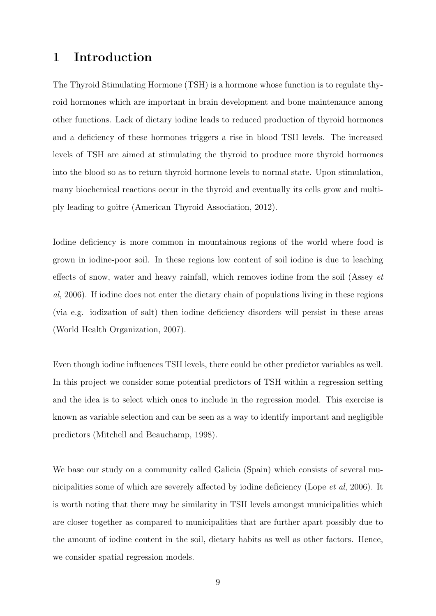### 1 Introduction

The Thyroid Stimulating Hormone (TSH) is a hormone whose function is to regulate thyroid hormones which are important in brain development and bone maintenance among other functions. Lack of dietary iodine leads to reduced production of thyroid hormones and a deficiency of these hormones triggers a rise in blood TSH levels. The increased levels of TSH are aimed at stimulating the thyroid to produce more thyroid hormones into the blood so as to return thyroid hormone levels to normal state. Upon stimulation, many biochemical reactions occur in the thyroid and eventually its cells grow and multiply leading to goitre (American Thyroid Association, 2012).

Iodine deficiency is more common in mountainous regions of the world where food is grown in iodine-poor soil. In these regions low content of soil iodine is due to leaching effects of snow, water and heavy rainfall, which removes iodine from the soil (Assey et al, 2006). If iodine does not enter the dietary chain of populations living in these regions (via e.g. iodization of salt) then iodine deficiency disorders will persist in these areas (World Health Organization, 2007).

Even though iodine influences TSH levels, there could be other predictor variables as well. In this project we consider some potential predictors of TSH within a regression setting and the idea is to select which ones to include in the regression model. This exercise is known as variable selection and can be seen as a way to identify important and negligible predictors (Mitchell and Beauchamp, 1998).

We base our study on a community called Galicia (Spain) which consists of several municipalities some of which are severely affected by iodine deficiency (Lope et al, 2006). It is worth noting that there may be similarity in TSH levels amongst municipalities which are closer together as compared to municipalities that are further apart possibly due to the amount of iodine content in the soil, dietary habits as well as other factors. Hence, we consider spatial regression models.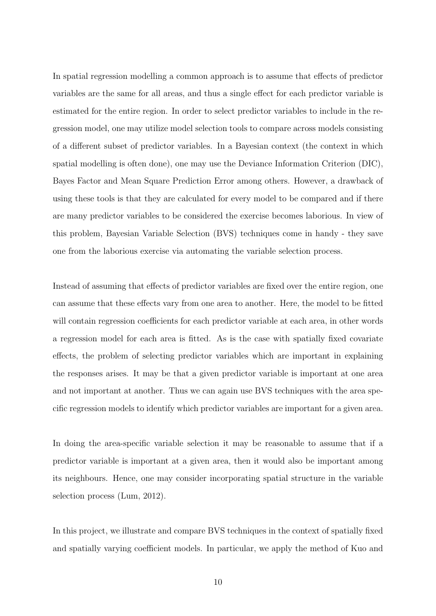In spatial regression modelling a common approach is to assume that effects of predictor variables are the same for all areas, and thus a single effect for each predictor variable is estimated for the entire region. In order to select predictor variables to include in the regression model, one may utilize model selection tools to compare across models consisting of a different subset of predictor variables. In a Bayesian context (the context in which spatial modelling is often done), one may use the Deviance Information Criterion (DIC), Bayes Factor and Mean Square Prediction Error among others. However, a drawback of using these tools is that they are calculated for every model to be compared and if there are many predictor variables to be considered the exercise becomes laborious. In view of this problem, Bayesian Variable Selection (BVS) techniques come in handy - they save one from the laborious exercise via automating the variable selection process.

Instead of assuming that effects of predictor variables are fixed over the entire region, one can assume that these effects vary from one area to another. Here, the model to be fitted will contain regression coefficients for each predictor variable at each area, in other words a regression model for each area is fitted. As is the case with spatially fixed covariate effects, the problem of selecting predictor variables which are important in explaining the responses arises. It may be that a given predictor variable is important at one area and not important at another. Thus we can again use BVS techniques with the area specific regression models to identify which predictor variables are important for a given area.

In doing the area-specific variable selection it may be reasonable to assume that if a predictor variable is important at a given area, then it would also be important among its neighbours. Hence, one may consider incorporating spatial structure in the variable selection process (Lum, 2012).

In this project, we illustrate and compare BVS techniques in the context of spatially fixed and spatially varying coefficient models. In particular, we apply the method of Kuo and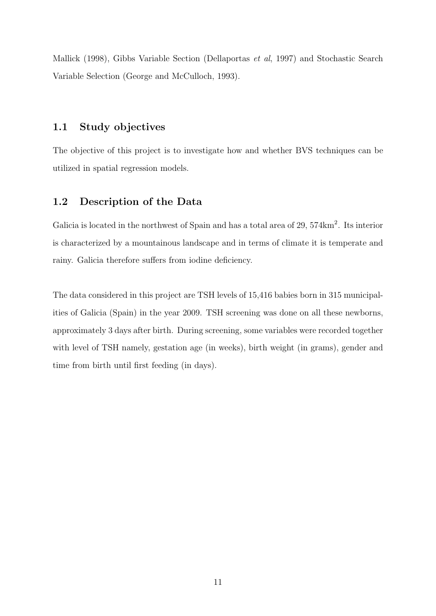Mallick (1998), Gibbs Variable Section (Dellaportas et al, 1997) and Stochastic Search Variable Selection (George and McCulloch, 1993).

### 1.1 Study objectives

The objective of this project is to investigate how and whether BVS techniques can be utilized in spatial regression models.

### 1.2 Description of the Data

Galicia is located in the northwest of Spain and has a total area of 29, 574km<sup>2</sup>. Its interior is characterized by a mountainous landscape and in terms of climate it is temperate and rainy. Galicia therefore suffers from iodine deficiency.

The data considered in this project are TSH levels of 15,416 babies born in 315 municipalities of Galicia (Spain) in the year 2009. TSH screening was done on all these newborns, approximately 3 days after birth. During screening, some variables were recorded together with level of TSH namely, gestation age (in weeks), birth weight (in grams), gender and time from birth until first feeding (in days).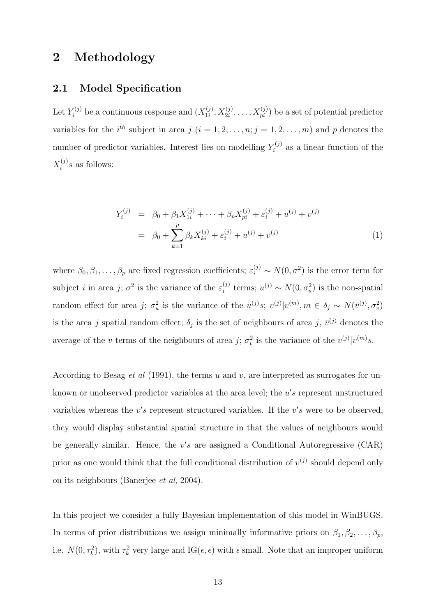### 2 Methodology

### 2.1 Model Specification

Let  $Y_i^{(j)}$  be a continuous response and  $(X_{1i}^{(j)})$  $\mathcal{X}^{(j)}_{1i}, X^{(j)}_{2i}, \ldots, X^{(j)}_{pi})$  be a set of potential predictor variables for the i<sup>th</sup> subject in area j  $(i = 1, 2, \ldots, n; j = 1, 2, \ldots, m)$  and p denotes the number of predictor variables. Interest lies on modelling  $Y_i^{(j)}$  $\zeta_i^{(j)}$  as a linear function of the  $X_i^{(j)}$  $i^{(j)}s$  as follows:

$$
Y_i^{(j)} = \beta_0 + \beta_1 X_{1i}^{(j)} + \dots + \beta_p X_{pi}^{(j)} + \varepsilon_i^{(j)} + u^{(j)} + v^{(j)}
$$
  
= 
$$
\beta_0 + \sum_{k=1}^p \beta_k X_{ki}^{(j)} + \varepsilon_i^{(j)} + u^{(j)} + v^{(j)}
$$
 (1)

where  $\beta_0, \beta_1, \ldots, \beta_p$  are fixed regression coefficients;  $\varepsilon_i^{(j)} \sim N(0, \sigma^2)$  is the error term for subject *i* in area *j*;  $\sigma^2$  is the variance of the  $\varepsilon_i^{(j)}$  $i_j^{(j)}$  terms;  $u^{(j)} \sim N(0, \sigma_u^2)$  is the non-spatial random effect for area j;  $\sigma_u^2$  is the variance of the  $u^{(j)}s$ ;  $v^{(j)}|v^{(m)}, m \in \delta_j \sim N(\bar{v}^{(j)}, \sigma_v^2)$ is the area j spatial random effect;  $\delta_j$  is the set of neighbours of area j,  $\bar{v}^{(j)}$  denotes the average of the v terms of the neighbours of area j;  $\sigma_v^2$  is the variance of the  $v^{(j)}|v^{(m)}s$ .

According to Besag *et al* (1991), the terms u and v, are interpreted as surrogates for unknown or unobserved predictor variables at the area level; the  $u's$  represent unstructured variables whereas the  $v's$  represent structured variables. If the  $v's$  were to be observed, they would display substantial spatial structure in that the values of neighbours would be generally similar. Hence, the  $v's$  are assigned a Conditional Autoregressive (CAR) prior as one would think that the full conditional distribution of  $v^{(j)}$  should depend only on its neighbours (Banerjee et al, 2004).

In this project we consider a fully Bayesian implementation of this model in WinBUGS. In terms of prior distributions we assign minimally informative priors on  $\beta_1, \beta_2, \ldots, \beta_p$ , i.e.  $N(0, \tau_k^2)$ , with  $\tau_k^2$  very large and  $IG(\epsilon, \epsilon)$  with  $\epsilon$  small. Note that an improper uniform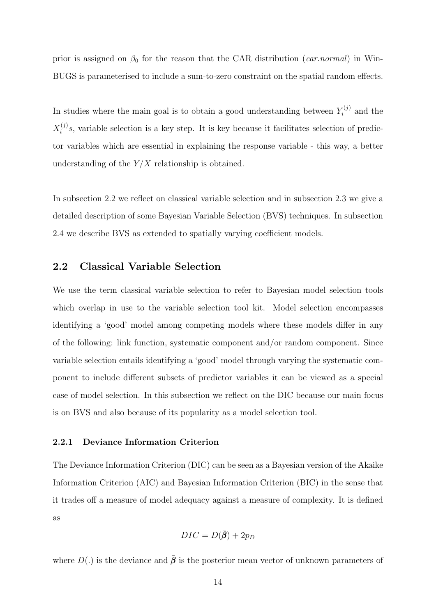prior is assigned on  $\beta_0$  for the reason that the CAR distribution (*car.normal*) in Win-BUGS is parameterised to include a sum-to-zero constraint on the spatial random effects.

In studies where the main goal is to obtain a good understanding between  $Y_i^{(j)}$  $i^{(j)}$  and the  $X_i^{(j)}$  $i^{(j)}s$ , variable selection is a key step. It is key because it facilitates selection of predictor variables which are essential in explaining the response variable - this way, a better understanding of the  $Y/X$  relationship is obtained.

In subsection 2.2 we reflect on classical variable selection and in subsection 2.3 we give a detailed description of some Bayesian Variable Selection (BVS) techniques. In subsection 2.4 we describe BVS as extended to spatially varying coefficient models.

### 2.2 Classical Variable Selection

We use the term classical variable selection to refer to Bayesian model selection tools which overlap in use to the variable selection tool kit. Model selection encompasses identifying a 'good' model among competing models where these models differ in any of the following: link function, systematic component and/or random component. Since variable selection entails identifying a 'good' model through varying the systematic component to include different subsets of predictor variables it can be viewed as a special case of model selection. In this subsection we reflect on the DIC because our main focus is on BVS and also because of its popularity as a model selection tool.

#### 2.2.1 Deviance Information Criterion

The Deviance Information Criterion (DIC) can be seen as a Bayesian version of the Akaike Information Criterion (AIC) and Bayesian Information Criterion (BIC) in the sense that it trades off a measure of model adequacy against a measure of complexity. It is defined as

$$
DIC = D(\bar{\beta}) + 2p_D
$$

where  $D(.)$  is the deviance and  $\bar{\beta}$  is the posterior mean vector of unknown parameters of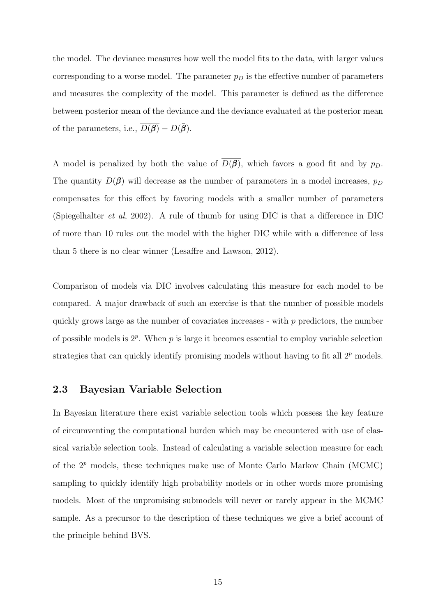the model. The deviance measures how well the model fits to the data, with larger values corresponding to a worse model. The parameter  $p<sub>D</sub>$  is the effective number of parameters and measures the complexity of the model. This parameter is defined as the difference between posterior mean of the deviance and the deviance evaluated at the posterior mean of the parameters, i.e.,  $\overline{D(\beta)} - D(\overline{\beta})$ .

A model is penalized by both the value of  $\overline{D(\beta)}$ , which favors a good fit and by  $p_D$ . The quantity  $\overline{D(\beta)}$  will decrease as the number of parameters in a model increases,  $p_D$ compensates for this effect by favoring models with a smaller number of parameters (Spiegelhalter et al, 2002). A rule of thumb for using DIC is that a difference in DIC of more than 10 rules out the model with the higher DIC while with a difference of less than 5 there is no clear winner (Lesaffre and Lawson, 2012).

Comparison of models via DIC involves calculating this measure for each model to be compared. A major drawback of such an exercise is that the number of possible models quickly grows large as the number of covariates increases - with  $p$  predictors, the number of possible models is  $2^p$ . When p is large it becomes essential to employ variable selection strategies that can quickly identify promising models without having to fit all  $2<sup>p</sup>$  models.

### 2.3 Bayesian Variable Selection

In Bayesian literature there exist variable selection tools which possess the key feature of circumventing the computational burden which may be encountered with use of classical variable selection tools. Instead of calculating a variable selection measure for each of the  $2^p$  models, these techniques make use of Monte Carlo Markov Chain (MCMC) sampling to quickly identify high probability models or in other words more promising models. Most of the unpromising submodels will never or rarely appear in the MCMC sample. As a precursor to the description of these techniques we give a brief account of the principle behind BVS.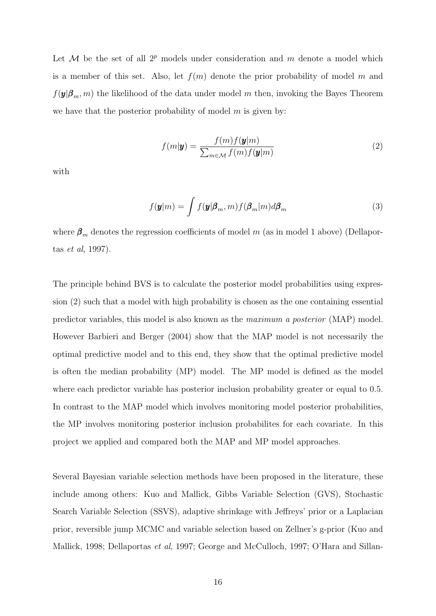Let  $M$  be the set of all  $2^p$  models under consideration and m denote a model which is a member of this set. Also, let  $f(m)$  denote the prior probability of model m and  $f(\mathbf{y}|\boldsymbol{\beta}_m,m)$  the likelihood of the data under model m then, invoking the Bayes Theorem we have that the posterior probability of model  $m$  is given by:

$$
f(m|\mathbf{y}) = \frac{f(m)f(\mathbf{y}|m)}{\sum_{m \in \mathcal{M}} f(m)f(\mathbf{y}|m)}
$$
(2)

with

$$
f(\mathbf{y}|m) = \int f(\mathbf{y}|\boldsymbol{\beta}_m, m) f(\boldsymbol{\beta}_m|m) d\boldsymbol{\beta}_m
$$
\n(3)

where  $\beta_m$  denotes the regression coefficients of model m (as in model 1 above) (Dellaportas et al, 1997).

The principle behind BVS is to calculate the posterior model probabilities using expression (2) such that a model with high probability is chosen as the one containing essential predictor variables, this model is also known as the maximum a posterior (MAP) model. However Barbieri and Berger (2004) show that the MAP model is not necessarily the optimal predictive model and to this end, they show that the optimal predictive model is often the median probability (MP) model. The MP model is defined as the model where each predictor variable has posterior inclusion probability greater or equal to 0.5. In contrast to the MAP model which involves monitoring model posterior probabilities, the MP involves monitoring posterior inclusion probabilites for each covariate. In this project we applied and compared both the MAP and MP model approaches.

Several Bayesian variable selection methods have been proposed in the literature, these include among others: Kuo and Mallick, Gibbs Variable Selection (GVS), Stochastic Search Variable Selection (SSVS), adaptive shrinkage with Jeffreys' prior or a Laplacian prior, reversible jump MCMC and variable selection based on Zellner's g-prior (Kuo and Mallick, 1998; Dellaportas et al, 1997; George and McCulloch, 1997; O'Hara and Sillan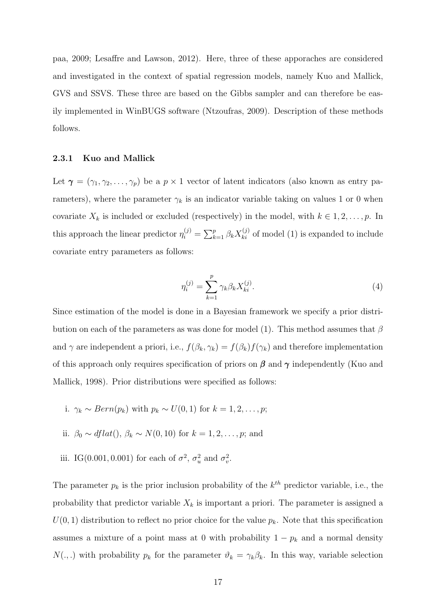paa, 2009; Lesaffre and Lawson, 2012). Here, three of these apporaches are considered and investigated in the context of spatial regression models, namely Kuo and Mallick, GVS and SSVS. These three are based on the Gibbs sampler and can therefore be easily implemented in WinBUGS software (Ntzoufras, 2009). Description of these methods follows.

#### 2.3.1 Kuo and Mallick

Let  $\gamma = (\gamma_1, \gamma_2, \dots, \gamma_p)$  be a  $p \times 1$  vector of latent indicators (also known as entry parameters), where the parameter  $\gamma_k$  is an indicator variable taking on values 1 or 0 when covariate  $X_k$  is included or excluded (respectively) in the model, with  $k \in 1, 2, \ldots, p$ . In this approach the linear predictor  $\eta_i^{(j)} = \sum_{k=1}^p \beta_k X_{ki}^{(j)}$  of model (1) is expanded to include covariate entry parameters as follows:

$$
\eta_i^{(j)} = \sum_{k=1}^p \gamma_k \beta_k X_{ki}^{(j)}.
$$
\n(4)

Since estimation of the model is done in a Bayesian framework we specify a prior distribution on each of the parameters as was done for model (1). This method assumes that  $\beta$ and  $\gamma$  are independent a priori, i.e.,  $f(\beta_k, \gamma_k) = f(\beta_k) f(\gamma_k)$  and therefore implementation of this approach only requires specification of priors on  $\beta$  and  $\gamma$  independently (Kuo and Mallick, 1998). Prior distributions were specified as follows:

- i.  $\gamma_k \sim Bern(p_k)$  with  $p_k \sim U(0, 1)$  for  $k = 1, 2, \ldots, p;$
- ii.  $\beta_0 \sim \text{dflat}(0, \beta_k \sim N(0, 10) \text{ for } k = 1, 2, \dots, p; \text{ and }$
- iii. IG(0.001, 0.001) for each of  $\sigma^2$ ,  $\sigma_u^2$  and  $\sigma_v^2$ .

The parameter  $p_k$  is the prior inclusion probability of the  $k^{th}$  predictor variable, i.e., the probability that predictor variable  $X_k$  is important a priori. The parameter is assigned a  $U(0, 1)$  distribution to reflect no prior choice for the value  $p_k$ . Note that this specification assumes a mixture of a point mass at 0 with probability  $1 - p_k$  and a normal density  $N(.,.)$  with probability  $p_k$  for the parameter  $\vartheta_k = \gamma_k \beta_k$ . In this way, variable selection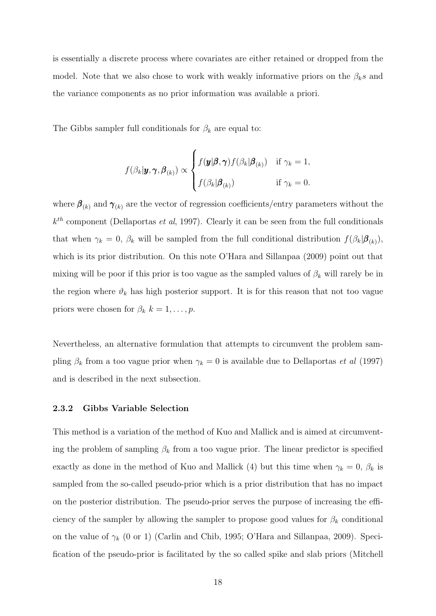is essentially a discrete process where covariates are either retained or dropped from the model. Note that we also chose to work with weakly informative priors on the  $\beta_k s$  and the variance components as no prior information was available a priori.

The Gibbs sampler full conditionals for  $\beta_k$  are equal to:

$$
f(\beta_k|\mathbf{y}, \boldsymbol{\gamma}, \boldsymbol{\beta}_{(k)}) \propto \begin{cases} f(\mathbf{y}|\boldsymbol{\beta}, \boldsymbol{\gamma}) f(\beta_k|\boldsymbol{\beta}_{(k)}) & \text{if } \gamma_k = 1, \\ f(\beta_k|\boldsymbol{\beta}_{(k)}) & \text{if } \gamma_k = 0. \end{cases}
$$

where  $\beta_{(k)}$  and  $\gamma_{(k)}$  are the vector of regression coefficients/entry parameters without the  $k^{th}$  component (Dellaportas *et al*, 1997). Clearly it can be seen from the full conditionals that when  $\gamma_k = 0$ ,  $\beta_k$  will be sampled from the full conditional distribution  $f(\beta_k|\boldsymbol{\beta}_{(k)}),$ which is its prior distribution. On this note O'Hara and Sillanpaa (2009) point out that mixing will be poor if this prior is too vague as the sampled values of  $\beta_k$  will rarely be in the region where  $\vartheta_k$  has high posterior support. It is for this reason that not too vague priors were chosen for  $\beta_k$   $k = 1, \ldots, p$ .

Nevertheless, an alternative formulation that attempts to circumvent the problem sampling  $\beta_k$  from a too vague prior when  $\gamma_k = 0$  is available due to Dellaportas *et al* (1997) and is described in the next subsection.

#### 2.3.2 Gibbs Variable Selection

This method is a variation of the method of Kuo and Mallick and is aimed at circumventing the problem of sampling  $\beta_k$  from a too vague prior. The linear predictor is specified exactly as done in the method of Kuo and Mallick (4) but this time when  $\gamma_k = 0$ ,  $\beta_k$  is sampled from the so-called pseudo-prior which is a prior distribution that has no impact on the posterior distribution. The pseudo-prior serves the purpose of increasing the efficiency of the sampler by allowing the sampler to propose good values for  $\beta_k$  conditional on the value of  $\gamma_k$  (0 or 1) (Carlin and Chib, 1995; O'Hara and Sillanpaa, 2009). Specification of the pseudo-prior is facilitated by the so called spike and slab priors (Mitchell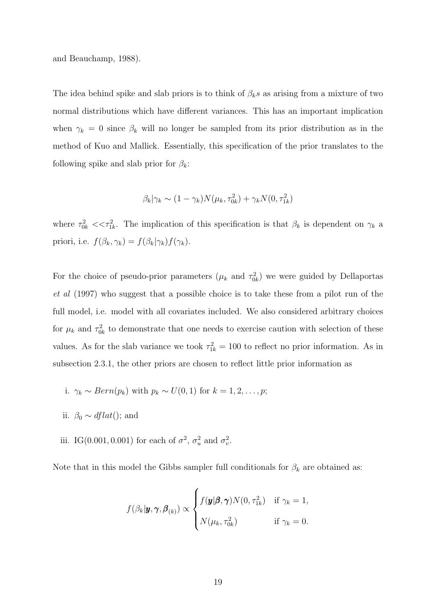and Beauchamp, 1988).

The idea behind spike and slab priors is to think of  $\beta_k s$  as arising from a mixture of two normal distributions which have different variances. This has an important implication when  $\gamma_k = 0$  since  $\beta_k$  will no longer be sampled from its prior distribution as in the method of Kuo and Mallick. Essentially, this specification of the prior translates to the following spike and slab prior for  $\beta_k$ :

$$
\beta_k|\gamma_k \sim (1-\gamma_k)N(\mu_k, \tau_{0k}^2) + \gamma_k N(0, \tau_{1k}^2)
$$

where  $\tau_{0k}^2 \ll \tau_{1k}^2$ . The implication of this specification is that  $\beta_k$  is dependent on  $\gamma_k$  a priori, i.e.  $f(\beta_k, \gamma_k) = f(\beta_k|\gamma_k)f(\gamma_k)$ .

For the choice of pseudo-prior parameters  $(\mu_k$  and  $\tau_{0k}^2)$  we were guided by Dellaportas et al (1997) who suggest that a possible choice is to take these from a pilot run of the full model, i.e. model with all covariates included. We also considered arbitrary choices for  $\mu_k$  and  $\tau_{0k}^2$  to demonstrate that one needs to exercise caution with selection of these values. As for the slab variance we took  $\tau_{1k}^2 = 100$  to reflect no prior information. As in subsection 2.3.1, the other priors are chosen to reflect little prior information as

i. 
$$
\gamma_k \sim Bern(p_k)
$$
 with  $p_k \sim U(0, 1)$  for  $k = 1, 2, ..., p$ ;

- ii.  $\beta_0 \sim \text{dflat}()$ ; and
- iii. IG(0.001, 0.001) for each of  $\sigma^2$ ,  $\sigma_u^2$  and  $\sigma_v^2$ .

Note that in this model the Gibbs sampler full conditionals for  $\beta_k$  are obtained as:

$$
f(\beta_k | \mathbf{y}, \mathbf{\gamma}, \boldsymbol{\beta}_{(k)}) \propto \begin{cases} f(\mathbf{y} | \boldsymbol{\beta}, \mathbf{\gamma}) N(0, \tau_{1k}^2) & \text{if } \gamma_k = 1, \\ N(\mu_k, \tau_{0k}^2) & \text{if } \gamma_k = 0. \end{cases}
$$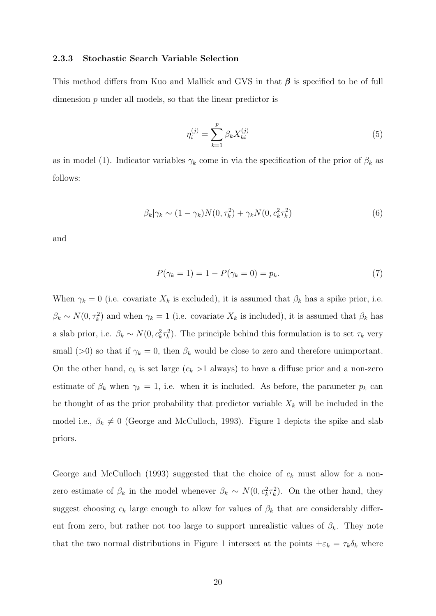#### 2.3.3 Stochastic Search Variable Selection

This method differs from Kuo and Mallick and GVS in that  $\beta$  is specified to be of full dimension p under all models, so that the linear predictor is

$$
\eta_i^{(j)} = \sum_{k=1}^p \beta_k X_{ki}^{(j)} \tag{5}
$$

as in model (1). Indicator variables  $\gamma_k$  come in via the specification of the prior of  $\beta_k$  as follows:

$$
\beta_k|\gamma_k \sim (1-\gamma_k)N(0,\tau_k^2) + \gamma_k N(0,c_k^2\tau_k^2)
$$
\n
$$
(6)
$$

and

$$
P(\gamma_k = 1) = 1 - P(\gamma_k = 0) = p_k.
$$
\n(7)

When  $\gamma_k = 0$  (i.e. covariate  $X_k$  is excluded), it is assumed that  $\beta_k$  has a spike prior, i.e.  $\beta_k \sim N(0, \tau_k^2)$  and when  $\gamma_k = 1$  (i.e. covariate  $X_k$  is included), it is assumed that  $\beta_k$  has a slab prior, i.e.  $\beta_k \sim N(0, c_k^2 \tau_k^2)$ . The principle behind this formulation is to set  $\tau_k$  very small (>0) so that if  $\gamma_k = 0$ , then  $\beta_k$  would be close to zero and therefore unimportant. On the other hand,  $c_k$  is set large  $(c_k > 1$  always) to have a diffuse prior and a non-zero estimate of  $\beta_k$  when  $\gamma_k = 1$ , i.e. when it is included. As before, the parameter  $p_k$  can be thought of as the prior probability that predictor variable  $X_k$  will be included in the model i.e.,  $\beta_k \neq 0$  (George and McCulloch, 1993). Figure 1 depicts the spike and slab priors.

George and McCulloch (1993) suggested that the choice of  $c_k$  must allow for a nonzero estimate of  $\beta_k$  in the model whenever  $\beta_k \sim N(0, c_k^2 \tau_k^2)$ . On the other hand, they suggest choosing  $c_k$  large enough to allow for values of  $\beta_k$  that are considerably different from zero, but rather not too large to support unrealistic values of  $\beta_k$ . They note that the two normal distributions in Figure 1 intersect at the points  $\pm \varepsilon_k = \tau_k \delta_k$  where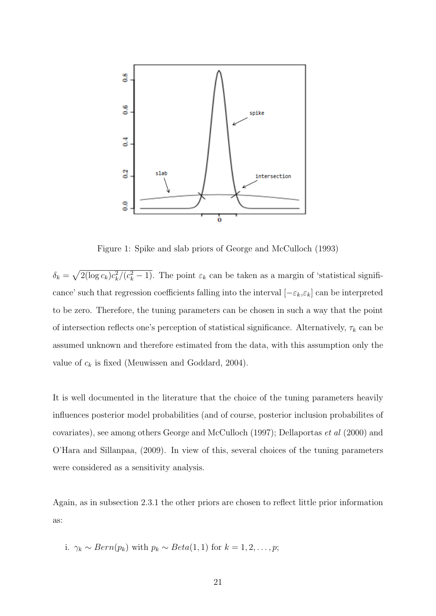

Figure 1: Spike and slab priors of George and McCulloch (1993)

 $\delta_k = \sqrt{2(\log c_k)c_k^2/(c_k^2-1)}$ . The point  $\varepsilon_k$  can be taken as a margin of 'statistical significance' such that regression coefficients falling into the interval  $[-\varepsilon_k, \varepsilon_k]$  can be interpreted to be zero. Therefore, the tuning parameters can be chosen in such a way that the point of intersection reflects one's perception of statistical significance. Alternatively,  $\tau_k$  can be assumed unknown and therefore estimated from the data, with this assumption only the value of  $c_k$  is fixed (Meuwissen and Goddard, 2004).

It is well documented in the literature that the choice of the tuning parameters heavily influences posterior model probabilities (and of course, posterior inclusion probabilites of covariates), see among others George and McCulloch (1997); Dellaportas et al (2000) and O'Hara and Sillanpaa, (2009). In view of this, several choices of the tuning parameters were considered as a sensitivity analysis.

Again, as in subsection 2.3.1 the other priors are chosen to reflect little prior information as:

i. 
$$
\gamma_k \sim Bern(p_k)
$$
 with  $p_k \sim Beta(1, 1)$  for  $k = 1, 2, ..., p$ ;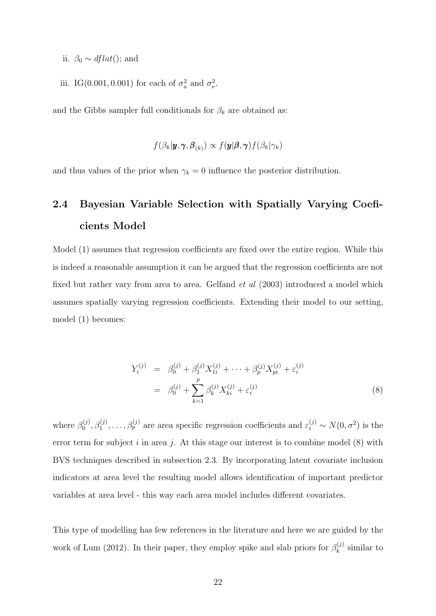- ii.  $\beta_0 \sim \text{dflat}()$ ; and
- iii. IG(0.001, 0.001) for each of  $\sigma_u^2$  and  $\sigma_v^2$ .

and the Gibbs sampler full conditionals for  $\beta_k$  are obtained as:

$$
f(\beta_k|\pmb{y},\pmb{\gamma},\pmb{\beta}_{(k)}) \propto f(\pmb{y}|\pmb{\beta},\pmb{\gamma})f(\beta_k|\gamma_k)
$$

and thus values of the prior when  $\gamma_k = 0$  influence the posterior distribution.

### 2.4 Bayesian Variable Selection with Spatially Varying Coeficients Model

Model (1) assumes that regression coefficients are fixed over the entire region. While this is indeed a reasonable assumption it can be argued that the regression coefficients are not fixed but rather vary from area to area. Gelfand *et al* (2003) introduced a model which assumes spatially varying regression coefficients. Extending their model to our setting, model (1) becomes:

$$
Y_i^{(j)} = \beta_0^{(j)} + \beta_1^{(j)} X_{1i}^{(j)} + \dots + \beta_p^{(j)} X_{pi}^{(j)} + \varepsilon_i^{(j)}
$$
  

$$
= \beta_0^{(j)} + \sum_{k=1}^p \beta_k^{(j)} X_{ki}^{(j)} + \varepsilon_i^{(j)}
$$
(8)

where  $\beta_0^{(j)}$  $\phi_0^{(j)}, \beta_1^{(j)}, \ldots, \beta_p^{(j)}$  are area specific regression coefficients and  $\varepsilon_i^{(j)} \sim N(0, \sigma^2)$  is the error term for subject i in area j. At this stage our interest is to combine model  $(8)$  with BVS techniques described in subsection 2.3. By incorporating latent covariate inclusion indicators at area level the resulting model allows identification of important predictor variables at area level - this way each area model includes different covariates.

This type of modelling has few references in the literature and here we are guided by the work of Lum (2012). In their paper, they employ spike and slab priors for  $\beta_k^{(j)}$  $\mathcal{C}_k^{(j)}$  similar to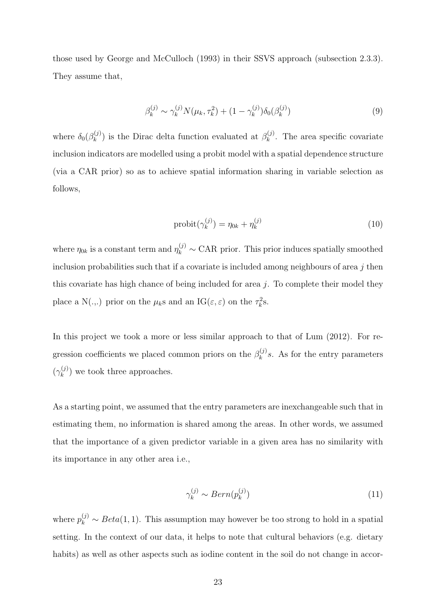those used by George and McCulloch (1993) in their SSVS approach (subsection 2.3.3). They assume that,

$$
\beta_k^{(j)} \sim \gamma_k^{(j)} N(\mu_k, \tau_k^2) + (1 - \gamma_k^{(j)}) \delta_0(\beta_k^{(j)}) \tag{9}
$$

where  $\delta_0(\beta_k^{(j)})$  $\binom{(\mathbf{j})}{k}$  is the Dirac delta function evaluated at  $\beta_k^{(\mathbf{j})}$  $\kappa^{(J)}$ . The area specific covariate inclusion indicators are modelled using a probit model with a spatial dependence structure (via a CAR prior) so as to achieve spatial information sharing in variable selection as follows,

$$
probit(\gamma_k^{(j)}) = \eta_{0k} + \eta_k^{(j)}
$$
\n
$$
(10)
$$

where  $\eta_{0k}$  is a constant term and  $\eta_k^{(j)} \sim \text{CAR}$  prior. This prior induces spatially smoothed inclusion probabilities such that if a covariate is included among neighbours of area  $j$  then this covariate has high chance of being included for area j. To complete their model they place a N(...) prior on the  $\mu_k$ s and an IG( $\varepsilon, \varepsilon$ ) on the  $\tau_k^2$ s.

In this project we took a more or less similar approach to that of Lum (2012). For regression coefficients we placed common priors on the  $\beta_k^{(j)}$  $k^{(J)}_k$ s. As for the entry parameters  $(\gamma_k^{(j)}$  $\binom{1}{k}$  we took three approaches.

As a starting point, we assumed that the entry parameters are inexchangeable such that in estimating them, no information is shared among the areas. In other words, we assumed that the importance of a given predictor variable in a given area has no similarity with its importance in any other area i.e.,

$$
\gamma_k^{(j)} \sim Bern(p_k^{(j)})\tag{11}
$$

where  $p_k^{(j)} \sim Beta(1, 1)$ . This assumption may however be too strong to hold in a spatial setting. In the context of our data, it helps to note that cultural behaviors (e.g. dietary habits) as well as other aspects such as iodine content in the soil do not change in accor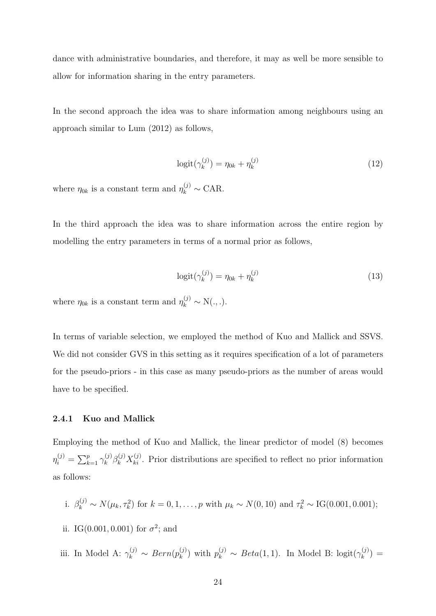dance with administrative boundaries, and therefore, it may as well be more sensible to allow for information sharing in the entry parameters.

In the second approach the idea was to share information among neighbours using an approach similar to Lum (2012) as follows,

$$
logit(\gamma_k^{(j)}) = \eta_{0k} + \eta_k^{(j)}
$$
\n
$$
(12)
$$

where  $\eta_{0k}$  is a constant term and  $\eta_k^{(j)} \sim \text{CAR}$ .

In the third approach the idea was to share information across the entire region by modelling the entry parameters in terms of a normal prior as follows,

$$
logit(\gamma_k^{(j)}) = \eta_{0k} + \eta_k^{(j)}
$$
\n
$$
(13)
$$

where  $\eta_{0k}$  is a constant term and  $\eta_k^{(j)} \sim N(.,.).$ 

In terms of variable selection, we employed the method of Kuo and Mallick and SSVS. We did not consider GVS in this setting as it requires specification of a lot of parameters for the pseudo-priors - in this case as many pseudo-priors as the number of areas would have to be specified.

#### 2.4.1 Kuo and Mallick

Employing the method of Kuo and Mallick, the linear predictor of model (8) becomes  $\eta_i^{(j)} = \sum_{k=1}^p \gamma_k^{(j)}$  $\kappa_k^{(j)} \beta_k^{(j)} X_{ki}^{(j)}$ . Prior distributions are specified to reflect no prior information as follows:

i. 
$$
\beta_k^{(j)} \sim N(\mu_k, \tau_k^2)
$$
 for  $k = 0, 1, ..., p$  with  $\mu_k \sim N(0, 10)$  and  $\tau_k^2 \sim \text{IG}(0.001, 0.001)$ ;

- ii. IG(0.001, 0.001) for  $\sigma^2$ ; and
- iii. In Model A:  $\gamma_k^{(j)} \sim Bern(p_k^{(j)})$  $\binom{(j)}{k}$  with  $p_k^{(j)} \sim Beta(1, 1)$ . In Model B: logit $(\gamma_k^{(j)})$  $\binom{(J)}{k} =$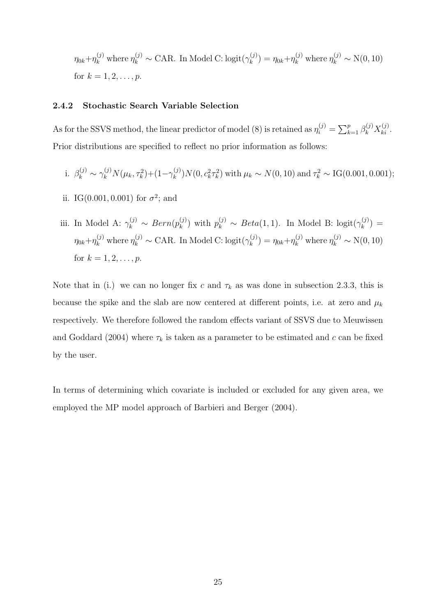$\eta_{0k} + \eta_k^{(j)}$  where  $\eta_k^{(j)} \sim \text{CAR}$ . In Model C: logit $(\gamma_k^{(j)})$  $y_k^{(j)} = \eta_{0k} + \eta_k^{(j)}$  where  $\eta_k^{(j)} \sim N(0, 10)$ for  $k = 1, 2, ..., p$ .

### 2.4.2 Stochastic Search Variable Selection

As for the SSVS method, the linear predictor of model (8) is retained as  $\eta_i^{(j)} = \sum_{k=1}^p \beta_k^{(j)} X_{ki}^{(j)}$ . Prior distributions are specified to reflect no prior information as follows:

i. 
$$
\beta_k^{(j)} \sim \gamma_k^{(j)} N(\mu_k, \tau_k^2) + (1 - \gamma_k^{(j)}) N(0, c_k^2 \tau_k^2)
$$
 with  $\mu_k \sim N(0, 10)$  and  $\tau_k^2 \sim \text{IG}(0.001, 0.001)$ ;

ii. IG(0.001, 0.001) for  $\sigma^2$ ; and

iii. In Model A: 
$$
\gamma_k^{(j)} \sim Bern(p_k^{(j)})
$$
 with  $p_k^{(j)} \sim Beta(1, 1)$ . In Model B:  $logit(\gamma_k^{(j)}) =$   
\n $\eta_{0k} + \eta_k^{(j)}$  where  $\eta_k^{(j)} \sim$  CAR. In Model C:  $logit(\gamma_k^{(j)}) = \eta_{0k} + \eta_k^{(j)}$  where  $\eta_k^{(j)} \sim N(0, 10)$   
\nfor  $k = 1, 2, ..., p$ .

Note that in (i.) we can no longer fix c and  $\tau_k$  as was done in subsection 2.3.3, this is because the spike and the slab are now centered at different points, i.e. at zero and  $\mu_k$ respectively. We therefore followed the random effects variant of SSVS due to Meuwissen and Goddard (2004) where  $\tau_k$  is taken as a parameter to be estimated and c can be fixed by the user.

In terms of determining which covariate is included or excluded for any given area, we employed the MP model approach of Barbieri and Berger (2004).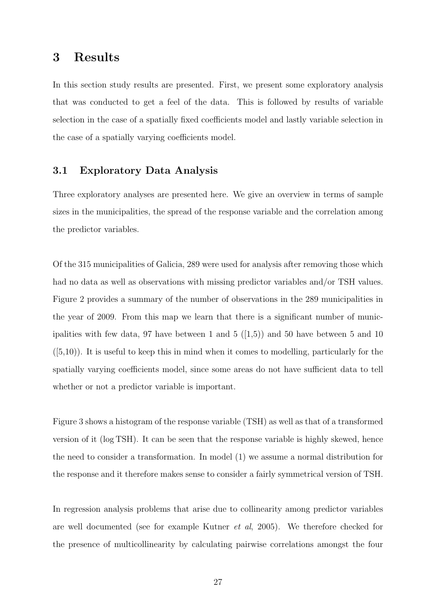### 3 Results

In this section study results are presented. First, we present some exploratory analysis that was conducted to get a feel of the data. This is followed by results of variable selection in the case of a spatially fixed coefficients model and lastly variable selection in the case of a spatially varying coefficients model.

### 3.1 Exploratory Data Analysis

Three exploratory analyses are presented here. We give an overview in terms of sample sizes in the municipalities, the spread of the response variable and the correlation among the predictor variables.

Of the 315 municipalities of Galicia, 289 were used for analysis after removing those which had no data as well as observations with missing predictor variables and/or TSH values. Figure 2 provides a summary of the number of observations in the 289 municipalities in the year of 2009. From this map we learn that there is a significant number of municipalities with few data, 97 have between 1 and 5  $([1,5))$  and 50 have between 5 and 10  $([5,10))$ . It is useful to keep this in mind when it comes to modelling, particularly for the spatially varying coefficients model, since some areas do not have sufficient data to tell whether or not a predictor variable is important.

Figure 3 shows a histogram of the response variable (TSH) as well as that of a transformed version of it (log TSH). It can be seen that the response variable is highly skewed, hence the need to consider a transformation. In model (1) we assume a normal distribution for the response and it therefore makes sense to consider a fairly symmetrical version of TSH.

In regression analysis problems that arise due to collinearity among predictor variables are well documented (see for example Kutner et al, 2005). We therefore checked for the presence of multicollinearity by calculating pairwise correlations amongst the four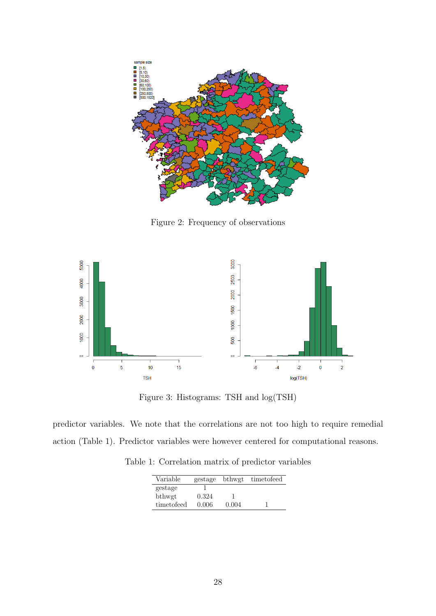

Figure 2: Frequency of observations



Figure 3: Histograms: TSH and log(TSH)

predictor variables. We note that the correlations are not too high to require remedial action (Table 1). Predictor variables were however centered for computational reasons.

Table 1: Correlation matrix of predictor variables

| Variable   | gestage | bthwgt | timetofeed |
|------------|---------|--------|------------|
| gestage    |         |        |            |
| bthwgt     | 0.324   |        |            |
| timetofeed | 0.006   | 0.004  |            |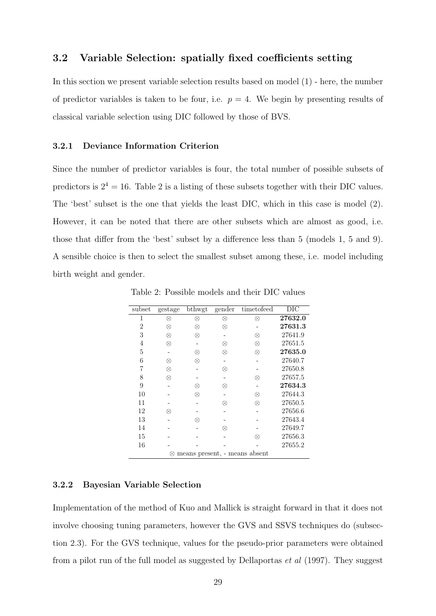### 3.2 Variable Selection: spatially fixed coefficients setting

In this section we present variable selection results based on model (1) - here, the number of predictor variables is taken to be four, i.e.  $p = 4$ . We begin by presenting results of classical variable selection using DIC followed by those of BVS.

#### 3.2.1 Deviance Information Criterion

Since the number of predictor variables is four, the total number of possible subsets of predictors is  $2^4 = 16$ . Table 2 is a listing of these subsets together with their DIC values. The 'best' subset is the one that yields the least DIC, which in this case is model (2). However, it can be noted that there are other subsets which are almost as good, i.e. those that differ from the 'best' subset by a difference less than 5 (models 1, 5 and 9). A sensible choice is then to select the smallest subset among these, i.e. model including birth weight and gender.

| subset | gestage                            | bthwgt    | gender | timetofeed | DIC     |  |  |  |  |
|--------|------------------------------------|-----------|--------|------------|---------|--|--|--|--|
|        | ⊗                                  | $\otimes$ | ⊗      | $\otimes$  | 27632.0 |  |  |  |  |
| 2      | ⊗                                  | ⊗         | ⊗      |            | 27631.3 |  |  |  |  |
| 3      | $\otimes$                          | $\otimes$ |        | ⊗          | 27641.9 |  |  |  |  |
| 4      | ⊗                                  |           | ⊗      | ⊗          | 27651.5 |  |  |  |  |
| 5      |                                    | ⊗         | ⊗      | ⊗          | 27635.0 |  |  |  |  |
| 6      | ⊗                                  | ⊗         |        |            | 27640.7 |  |  |  |  |
| 7      | ⊗                                  |           | ⊗      |            | 27650.8 |  |  |  |  |
| 8      | ⊗                                  |           |        | ⊗          | 27657.5 |  |  |  |  |
| 9      |                                    | ⊗         | ⊗      |            | 27634.3 |  |  |  |  |
| 10     |                                    | ⊗         |        | ⊗          | 27644.3 |  |  |  |  |
| 11     |                                    |           | ⊗      | ⊗          | 27650.5 |  |  |  |  |
| 12     | ⊗                                  |           |        |            | 27656.6 |  |  |  |  |
| 13     |                                    | ⊗         |        |            | 27643.4 |  |  |  |  |
| 14     |                                    |           | ⊗      |            | 27649.7 |  |  |  |  |
| 15     |                                    |           |        | ⊗          | 27656.3 |  |  |  |  |
| 16     |                                    |           |        |            | 27655.2 |  |  |  |  |
|        | means present, - means absent<br>⊗ |           |        |            |         |  |  |  |  |

Table 2: Possible models and their DIC values

#### 3.2.2 Bayesian Variable Selection

Implementation of the method of Kuo and Mallick is straight forward in that it does not involve choosing tuning parameters, however the GVS and SSVS techniques do (subsection 2.3). For the GVS technique, values for the pseudo-prior parameters were obtained from a pilot run of the full model as suggested by Dellaportas et al (1997). They suggest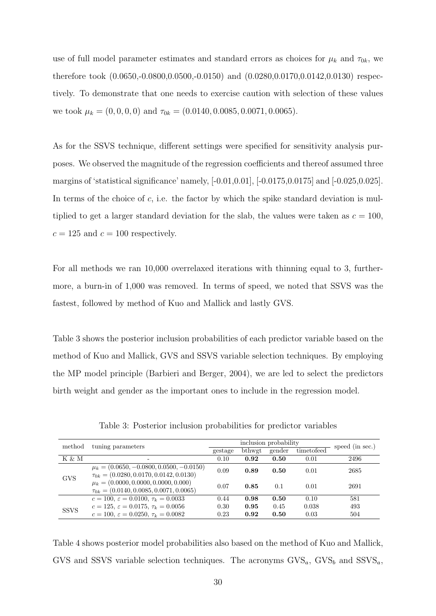use of full model parameter estimates and standard errors as choices for  $\mu_k$  and  $\tau_{0k}$ , we therefore took  $(0.0650, -0.0800, 0.0500, -0.0150)$  and  $(0.0280, 0.0170, 0.0142, 0.0130)$  respectively. To demonstrate that one needs to exercise caution with selection of these values we took  $\mu_k = (0, 0, 0, 0)$  and  $\tau_{0k} = (0.0140, 0.0085, 0.0071, 0.0065)$ .

As for the SSVS technique, different settings were specified for sensitivity analysis purposes. We observed the magnitude of the regression coefficients and thereof assumed three margins of 'statistical significance' namely, [-0.01,0.01], [-0.0175,0.0175] and [-0.025,0.025]. In terms of the choice of  $c$ , i.e. the factor by which the spike standard deviation is multiplied to get a larger standard deviation for the slab, the values were taken as  $c = 100$ ,  $c = 125$  and  $c = 100$  respectively.

For all methods we ran 10,000 overrelaxed iterations with thinning equal to 3, furthermore, a burn-in of 1,000 was removed. In terms of speed, we noted that SSVS was the fastest, followed by method of Kuo and Mallick and lastly GVS.

Table 3 shows the posterior inclusion probabilities of each predictor variable based on the method of Kuo and Mallick, GVS and SSVS variable selection techniques. By employing the MP model principle (Barbieri and Berger, 2004), we are led to select the predictors birth weight and gender as the important ones to include in the regression model.

| method      | tuning parameters                                      | inclusion probability |        |        |            | speed (in sec.) |
|-------------|--------------------------------------------------------|-----------------------|--------|--------|------------|-----------------|
|             |                                                        | gestage               | bthwgt | gender | timetofeed |                 |
| K & M       |                                                        | 0.10                  | 0.92   | 0.50   | 0.01       | 2496            |
|             | $\mu_k = (0.0650, -0.0800, 0.0500, -0.0150)$           | 0.09                  | 0.89   | 0.50   | 0.01       | 2685            |
| <b>GVS</b>  | $\tau_{0k} = (0.0280, 0.0170, 0.0142, 0.0130)$         |                       |        |        |            |                 |
|             | $\mu_k = (0.0000, 0.0000, 0.0000, 0.000)$              | 0.07                  | 0.85   | 0.1    | 0.01       | 2691            |
|             | $\tau_{0k} = (0.0140, 0.0085, 0.0071, 0.0065)$         |                       |        |        |            |                 |
|             | $c = 100, \varepsilon = 0.0100, \tau_k = 0.0033$       | 0.44                  | 0.98   | 0.50   | 0.10       | 581             |
| <b>SSVS</b> | $c = 125$ , $\varepsilon = 0.0175$ , $\tau_k = 0.0056$ | 0.30                  | 0.95   | 0.45   | 0.038      | 493             |
|             | $c = 100, \varepsilon = 0.0250, \tau_k = 0.0082$       | 0.23                  | 0.92   | 0.50   | 0.03       | 504             |

Table 3: Posterior inclusion probabilities for predictor variables

Table 4 shows posterior model probabilities also based on the method of Kuo and Mallick, GVS and SSVS variable selection techniques. The acronyms  $GVS_a$ ,  $GVS_b$  and  $SSVS_a$ ,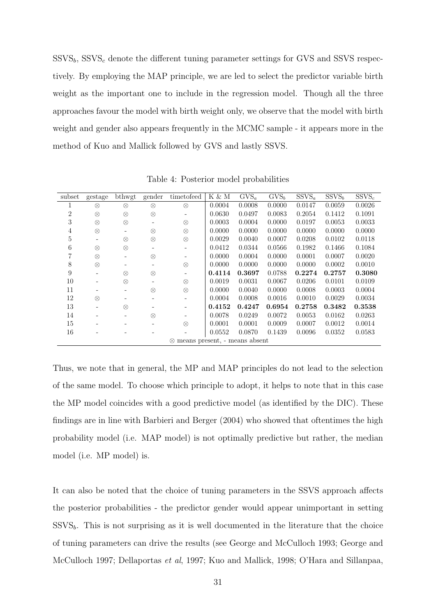$SSVS_b$ ,  $SSVS_c$  denote the different tuning parameter settings for GVS and SSVS respectively. By employing the MAP principle, we are led to select the predictor variable birth weight as the important one to include in the regression model. Though all the three approaches favour the model with birth weight only, we observe that the model with birth weight and gender also appears frequently in the MCMC sample - it appears more in the method of Kuo and Mallick followed by GVS and lastly SSVS.

| subset | gestage           | bthwgt    | gender    | timetofeed                                 | K & M  | $\overline{\mathrm{GVS}}_a$ | $\overline{\mathrm{GVS}_b}$ | $\overline{\mathrm{SSVS}}_a$ | $\overline{\mathrm{SSVS}}_b$ | $SSVS_c$ |
|--------|-------------------|-----------|-----------|--------------------------------------------|--------|-----------------------------|-----------------------------|------------------------------|------------------------------|----------|
|        | $\otimes$         | $\otimes$ | $\otimes$ | $\otimes$                                  | 0.0004 | 0.0008                      | 0.0000                      | 0.0147                       | 0.0059                       | 0.0026   |
| 2      | $\otimes$         | $\otimes$ | $\otimes$ |                                            | 0.0630 | 0.0497                      | 0.0083                      | 0.2054                       | 0.1412                       | 0.1091   |
| 3      | $\otimes$         | $\otimes$ |           | $\otimes$                                  | 0.0003 | 0.0004                      | 0.0000                      | 0.0197                       | 0.0053                       | 0.0033   |
| 4      | $\otimes$         |           | $\otimes$ | $\otimes$                                  | 0.0000 | 0.0000                      | 0.0000                      | 0.0000                       | 0.0000                       | 0.0000   |
| 5      |                   | $\otimes$ | $\otimes$ | $\otimes$                                  | 0.0029 | 0.0040                      | 0.0007                      | 0.0208                       | 0.0102                       | 0.0118   |
| 6      | ⊗                 | $\otimes$ |           |                                            | 0.0412 | 0.0344                      | 0.0566                      | 0.1982                       | 0.1466                       | 0.1084   |
|        | $^{\otimes}$      |           | $\otimes$ |                                            | 0.0000 | 0.0004                      | 0.0000                      | 0.0001                       | 0.0007                       | 0.0020   |
| 8      | $\otimes$         |           |           | $\otimes$                                  | 0.0000 | 0.0000                      | 0.0000                      | 0.0000                       | 0.0002                       | 0.0010   |
| 9      |                   | $\otimes$ | $\otimes$ |                                            | 0.4114 | 0.3697                      | 0.0788                      | 0.2274                       | 0.2757                       | 0.3080   |
| 10     |                   | $\otimes$ |           | $\otimes$                                  | 0.0019 | 0.0031                      | 0.0067                      | 0.0206                       | 0.0101                       | 0.0109   |
| 11     |                   |           | $\otimes$ | $\otimes$                                  | 0.0000 | 0.0040                      | 0.0000                      | 0.0008                       | 0.0003                       | 0.0004   |
| 12     | $\otimes$         |           |           |                                            | 0.0004 | 0.0008                      | 0.0016                      | 0.0010                       | 0.0029                       | 0.0034   |
| 13     | $\qquad \qquad -$ | ⊗         |           |                                            | 0.4152 | 0.4247                      | 0.6954                      | 0.2758                       | 0.3482                       | 0.3538   |
| 14     |                   |           | ⊗         |                                            | 0.0078 | 0.0249                      | 0.0072                      | 0.0053                       | 0.0162                       | 0.0263   |
| 15     |                   |           |           | $\otimes$                                  | 0.0001 | 0.0001                      | 0.0009                      | 0.0007                       | 0.0012                       | 0.0014   |
| 16     |                   |           |           |                                            | 0.0552 | 0.0870                      | 0.1439                      | 0.0096                       | 0.0352                       | 0.0583   |
|        |                   |           |           | means present, - means absent<br>$\otimes$ |        |                             |                             |                              |                              |          |

Table 4: Posterior model probabilities

Thus, we note that in general, the MP and MAP principles do not lead to the selection of the same model. To choose which principle to adopt, it helps to note that in this case the MP model coincides with a good predictive model (as identified by the DIC). These findings are in line with Barbieri and Berger (2004) who showed that oftentimes the high probability model (i.e. MAP model) is not optimally predictive but rather, the median model (i.e. MP model) is.

It can also be noted that the choice of tuning parameters in the SSVS approach affects the posterior probabilities - the predictor gender would appear unimportant in setting  $SSVS<sub>b</sub>$ . This is not surprising as it is well documented in the literature that the choice of tuning parameters can drive the results (see George and McCulloch 1993; George and McCulloch 1997; Dellaportas et al, 1997; Kuo and Mallick, 1998; O'Hara and Sillanpaa,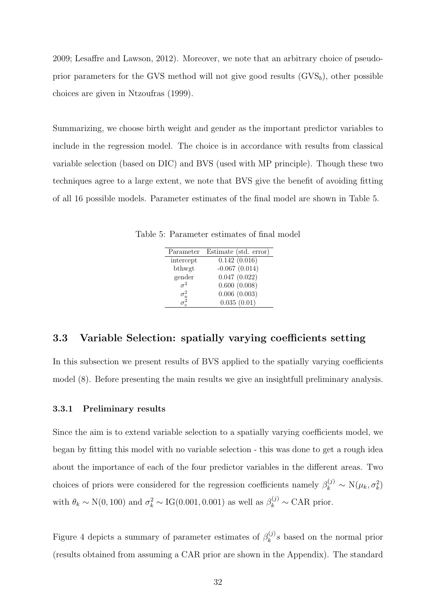2009; Lesaffre and Lawson, 2012). Moreover, we note that an arbitrary choice of pseudoprior parameters for the GVS method will not give good results  $(GVS_b)$ , other possible choices are given in Ntzoufras (1999).

Summarizing, we choose birth weight and gender as the important predictor variables to include in the regression model. The choice is in accordance with results from classical variable selection (based on DIC) and BVS (used with MP principle). Though these two techniques agree to a large extent, we note that BVS give the benefit of avoiding fitting of all 16 possible models. Parameter estimates of the final model are shown in Table 5.

Table 5: Parameter estimates of final model

| Parameter | Estimate (std. error) |
|-----------|-----------------------|
| intercept | 0.142(0.016)          |
| bthwgt    | $-0.067(0.014)$       |
| gender    | 0.047(0.022)          |
|           | 0.600(0.008)          |
|           | 0.006(0.003)          |
|           | 0.035(0.01)           |

### 3.3 Variable Selection: spatially varying coefficients setting

In this subsection we present results of BVS applied to the spatially varying coefficients model (8). Before presenting the main results we give an insightfull preliminary analysis.

#### 3.3.1 Preliminary results

Since the aim is to extend variable selection to a spatially varying coefficients model, we began by fitting this model with no variable selection - this was done to get a rough idea about the importance of each of the four predictor variables in the different areas. Two choices of priors were considered for the regression coefficients namely  $\beta_k^{(j)} \sim N(\mu_k, \sigma_k^2)$ with  $\theta_k \sim N(0, 100)$  and  $\sigma_k^2 \sim IG(0.001, 0.001)$  as well as  $\beta_k^{(j)} \sim CAR$  prior.

Figure 4 depicts a summary of parameter estimates of  $\beta_k^{(j)}$  $\kappa_k^{(1)}$ s based on the normal prior (results obtained from assuming a CAR prior are shown in the Appendix). The standard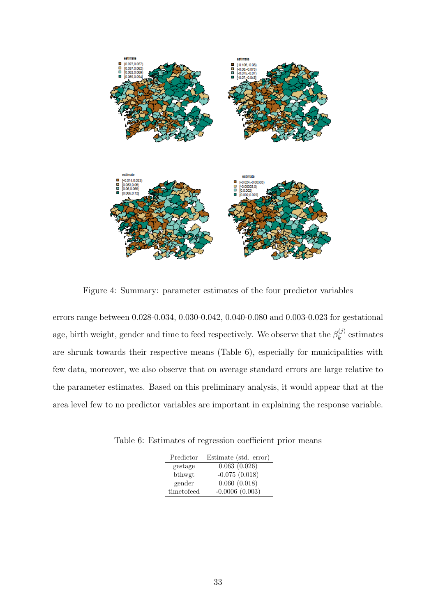

Figure 4: Summary: parameter estimates of the four predictor variables

errors range between 0.028-0.034, 0.030-0.042, 0.040-0.080 and 0.003-0.023 for gestational age, birth weight, gender and time to feed respectively. We observe that the  $\beta_k^{(j)}$  $k^{(j)}$  estimates are shrunk towards their respective means (Table 6), especially for municipalities with few data, moreover, we also observe that on average standard errors are large relative to the parameter estimates. Based on this preliminary analysis, it would appear that at the area level few to no predictor variables are important in explaining the response variable.

Table 6: Estimates of regression coefficient prior means

| Predictor  | Estimate (std. error) |
|------------|-----------------------|
| gestage    | 0.063(0.026)          |
| bthwgt     | $-0.075(0.018)$       |
| gender     | 0.060(0.018)          |
| timetofeed | $-0.0006(0.003)$      |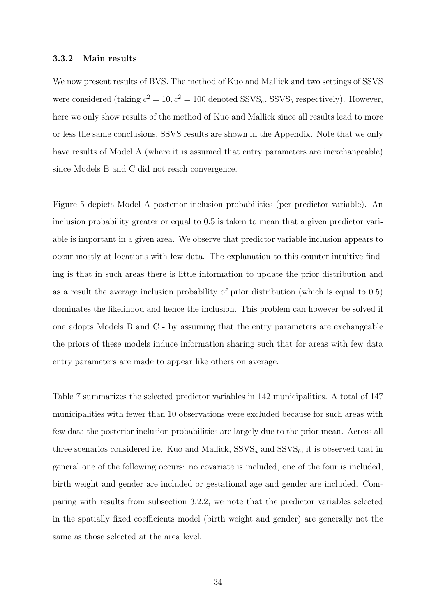#### 3.3.2 Main results

We now present results of BVS. The method of Kuo and Mallick and two settings of SSVS were considered (taking  $c^2 = 10$ ,  $c^2 = 100$  denoted SSVS<sub>a</sub>, SSVS<sub>b</sub> respectively). However, here we only show results of the method of Kuo and Mallick since all results lead to more or less the same conclusions, SSVS results are shown in the Appendix. Note that we only have results of Model A (where it is assumed that entry parameters are inexchangeable) since Models B and C did not reach convergence.

Figure 5 depicts Model A posterior inclusion probabilities (per predictor variable). An inclusion probability greater or equal to 0.5 is taken to mean that a given predictor variable is important in a given area. We observe that predictor variable inclusion appears to occur mostly at locations with few data. The explanation to this counter-intuitive finding is that in such areas there is little information to update the prior distribution and as a result the average inclusion probability of prior distribution (which is equal to 0.5) dominates the likelihood and hence the inclusion. This problem can however be solved if one adopts Models B and C - by assuming that the entry parameters are exchangeable the priors of these models induce information sharing such that for areas with few data entry parameters are made to appear like others on average.

Table 7 summarizes the selected predictor variables in 142 municipalities. A total of 147 municipalities with fewer than 10 observations were excluded because for such areas with few data the posterior inclusion probabilities are largely due to the prior mean. Across all three scenarios considered i.e. Kuo and Mallick,  $SSVS_a$  and  $SSVS_b$ , it is observed that in general one of the following occurs: no covariate is included, one of the four is included, birth weight and gender are included or gestational age and gender are included. Comparing with results from subsection 3.2.2, we note that the predictor variables selected in the spatially fixed coefficients model (birth weight and gender) are generally not the same as those selected at the area level.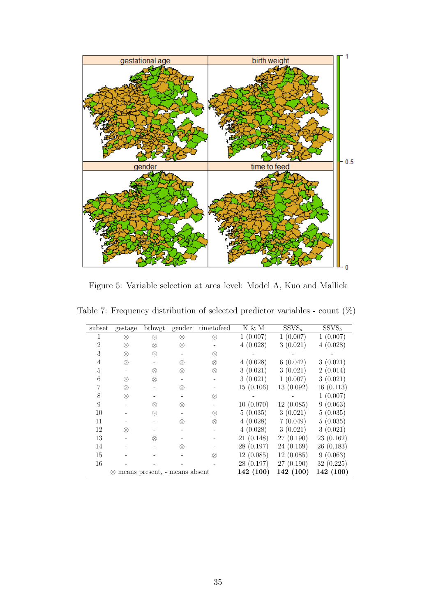

Figure 5: Variable selection at area level: Model A, Kuo and Mallick

| subset         | gestage                                 | bthwgt    | gender | timetofeed | $K \& M$   | $SSVS_a$  | SSVS <sub>b</sub> |
|----------------|-----------------------------------------|-----------|--------|------------|------------|-----------|-------------------|
| 1              | ⊗                                       | ⊗         | ⊗      | $\otimes$  | 1(0.007)   | 1(0.007)  | 1(0.007)          |
| $\overline{2}$ | $\otimes$                               | $\otimes$ | ⊗      |            | 4(0.028)   | 3(0.021)  | 4(0.028)          |
| 3              | $\otimes$                               | $\otimes$ |        | ⊗          |            |           |                   |
| $\overline{4}$ | $\otimes$                               |           | ⊗      | $\otimes$  | 4(0.028)   | 6(0.042)  | 3(0.021)          |
| 5              |                                         | $\otimes$ | ⊗      | $\otimes$  | 3(0.021)   | 3(0.021)  | 2(0.014)          |
| 6              | $\otimes$                               | $\otimes$ |        |            | 3(0.021)   | 1(0.007)  | 3(0.021)          |
|                | $\otimes$                               |           | ⊗      |            | 15(0.106)  | 13(0.092) | 16(0.113)         |
| 8              | $\otimes$                               |           |        | ⊗          |            |           | 1(0.007)          |
| 9              |                                         | ⊗         | ⊗      |            | 10(0.070)  | 12(0.085) | 9(0.063)          |
| 10             |                                         | ⊗         |        | $\otimes$  | 5(0.035)   | 3(0.021)  | 5(0.035)          |
| 11             |                                         |           | ⊗      | $\otimes$  | 4(0.028)   | 7(0.049)  | 5(0.035)          |
| 12             | ⊗                                       |           |        |            | 4(0.028)   | 3(0.021)  | 3(0.021)          |
| 13             |                                         | $\otimes$ |        |            | 21(0.148)  | 27(0.190) | 23(0.162)         |
| 14             |                                         |           | ⊗      |            | 28 (0.197) | 24(0.169) | 26(0.183)         |
| 15             |                                         |           |        | ⊗          | 12(0.085)  | 12(0.085) | 9(0.063)          |
| 16             |                                         |           |        |            | 28(0.197)  | 27(0.190) | 32(0.225)         |
|                | $\otimes$ means present, - means absent |           |        |            | 142 (100)  | 142 (100) | 142 (100)         |

Table 7: Frequency distribution of selected predictor variables - count  $(\%)$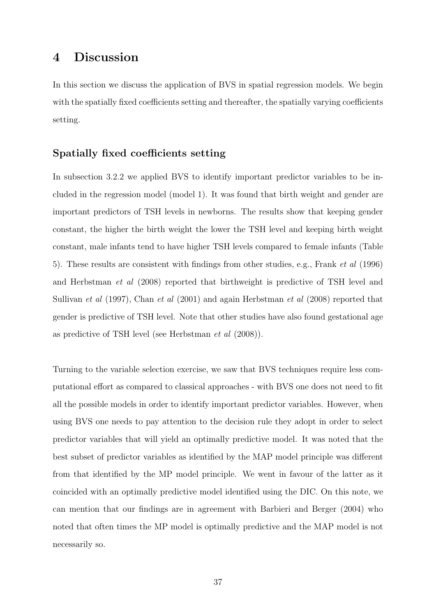### 4 Discussion

In this section we discuss the application of BVS in spatial regression models. We begin with the spatially fixed coefficients setting and thereafter, the spatially varying coefficients setting.

### Spatially fixed coefficients setting

In subsection 3.2.2 we applied BVS to identify important predictor variables to be included in the regression model (model 1). It was found that birth weight and gender are important predictors of TSH levels in newborns. The results show that keeping gender constant, the higher the birth weight the lower the TSH level and keeping birth weight constant, male infants tend to have higher TSH levels compared to female infants (Table 5). These results are consistent with findings from other studies, e.g., Frank et al (1996) and Herbstman et al (2008) reported that birthweight is predictive of TSH level and Sullivan *et al* (1997), Chan *et al* (2001) and again Herbstman *et al* (2008) reported that gender is predictive of TSH level. Note that other studies have also found gestational age as predictive of TSH level (see Herbstman et al (2008)).

Turning to the variable selection exercise, we saw that BVS techniques require less computational effort as compared to classical approaches - with BVS one does not need to fit all the possible models in order to identify important predictor variables. However, when using BVS one needs to pay attention to the decision rule they adopt in order to select predictor variables that will yield an optimally predictive model. It was noted that the best subset of predictor variables as identified by the MAP model principle was different from that identified by the MP model principle. We went in favour of the latter as it coincided with an optimally predictive model identified using the DIC. On this note, we can mention that our findings are in agreement with Barbieri and Berger (2004) who noted that often times the MP model is optimally predictive and the MAP model is not necessarily so.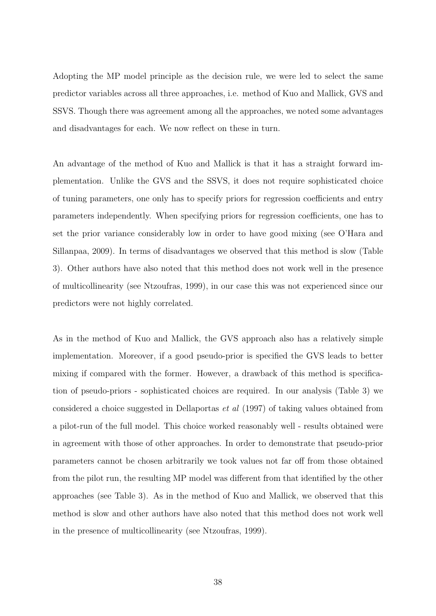Adopting the MP model principle as the decision rule, we were led to select the same predictor variables across all three approaches, i.e. method of Kuo and Mallick, GVS and SSVS. Though there was agreement among all the approaches, we noted some advantages and disadvantages for each. We now reflect on these in turn.

An advantage of the method of Kuo and Mallick is that it has a straight forward implementation. Unlike the GVS and the SSVS, it does not require sophisticated choice of tuning parameters, one only has to specify priors for regression coefficients and entry parameters independently. When specifying priors for regression coefficients, one has to set the prior variance considerably low in order to have good mixing (see O'Hara and Sillanpaa, 2009). In terms of disadvantages we observed that this method is slow (Table 3). Other authors have also noted that this method does not work well in the presence of multicollinearity (see Ntzoufras, 1999), in our case this was not experienced since our predictors were not highly correlated.

As in the method of Kuo and Mallick, the GVS approach also has a relatively simple implementation. Moreover, if a good pseudo-prior is specified the GVS leads to better mixing if compared with the former. However, a drawback of this method is specification of pseudo-priors - sophisticated choices are required. In our analysis (Table 3) we considered a choice suggested in Dellaportas et al (1997) of taking values obtained from a pilot-run of the full model. This choice worked reasonably well - results obtained were in agreement with those of other approaches. In order to demonstrate that pseudo-prior parameters cannot be chosen arbitrarily we took values not far off from those obtained from the pilot run, the resulting MP model was different from that identified by the other approaches (see Table 3). As in the method of Kuo and Mallick, we observed that this method is slow and other authors have also noted that this method does not work well in the presence of multicollinearity (see Ntzoufras, 1999).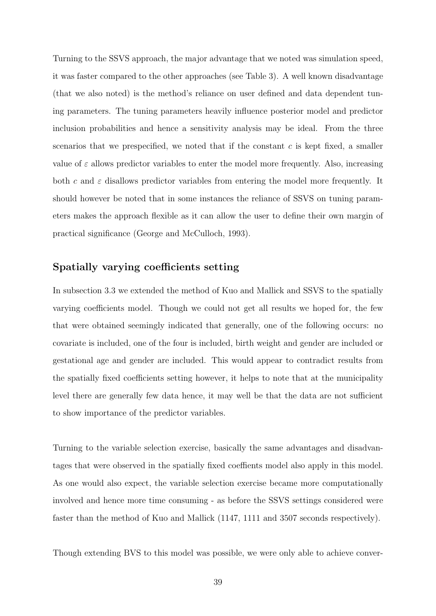Turning to the SSVS approach, the major advantage that we noted was simulation speed, it was faster compared to the other approaches (see Table 3). A well known disadvantage (that we also noted) is the method's reliance on user defined and data dependent tuning parameters. The tuning parameters heavily influence posterior model and predictor inclusion probabilities and hence a sensitivity analysis may be ideal. From the three scenarios that we prespecified, we noted that if the constant  $c$  is kept fixed, a smaller value of  $\varepsilon$  allows predictor variables to enter the model more frequently. Also, increasing both c and  $\varepsilon$  disallows predictor variables from entering the model more frequently. It should however be noted that in some instances the reliance of SSVS on tuning parameters makes the approach flexible as it can allow the user to define their own margin of practical significance (George and McCulloch, 1993).

### Spatially varying coefficients setting

In subsection 3.3 we extended the method of Kuo and Mallick and SSVS to the spatially varying coefficients model. Though we could not get all results we hoped for, the few that were obtained seemingly indicated that generally, one of the following occurs: no covariate is included, one of the four is included, birth weight and gender are included or gestational age and gender are included. This would appear to contradict results from the spatially fixed coefficients setting however, it helps to note that at the municipality level there are generally few data hence, it may well be that the data are not sufficient to show importance of the predictor variables.

Turning to the variable selection exercise, basically the same advantages and disadvantages that were observed in the spatially fixed coeffients model also apply in this model. As one would also expect, the variable selection exercise became more computationally involved and hence more time consuming - as before the SSVS settings considered were faster than the method of Kuo and Mallick (1147, 1111 and 3507 seconds respectively).

Though extending BVS to this model was possible, we were only able to achieve conver-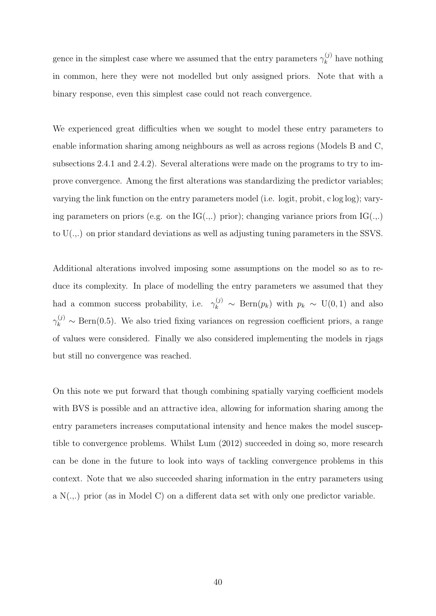gence in the simplest case where we assumed that the entry parameters  $\gamma_k^{(j)}$  $\kappa_k^{(J)}$  have nothing in common, here they were not modelled but only assigned priors. Note that with a binary response, even this simplest case could not reach convergence.

We experienced great difficulties when we sought to model these entry parameters to enable information sharing among neighbours as well as across regions (Models B and C, subsections 2.4.1 and 2.4.2). Several alterations were made on the programs to try to improve convergence. Among the first alterations was standardizing the predictor variables; varying the link function on the entry parameters model (i.e. logit, probit, c log log); varying parameters on priors (e.g. on the  $IG(.,.)$  prior); changing variance priors from  $IG(.,.)$ to  $U(.)$  on prior standard deviations as well as adjusting tuning parameters in the SSVS.

Additional alterations involved imposing some assumptions on the model so as to reduce its complexity. In place of modelling the entry parameters we assumed that they had a common success probability, i.e.  $\gamma_k^{(j)} \sim \text{Bern}(p_k)$  with  $p_k \sim U(0, 1)$  and also  $\gamma_k^{(j)} \sim \text{Bern}(0.5)$ . We also tried fixing variances on regression coefficient priors, a range of values were considered. Finally we also considered implementing the models in rjags but still no convergence was reached.

On this note we put forward that though combining spatially varying coefficient models with BVS is possible and an attractive idea, allowing for information sharing among the entry parameters increases computational intensity and hence makes the model susceptible to convergence problems. Whilst Lum (2012) succeeded in doing so, more research can be done in the future to look into ways of tackling convergence problems in this context. Note that we also succeeded sharing information in the entry parameters using a  $N(\ldots)$  prior (as in Model C) on a different data set with only one predictor variable.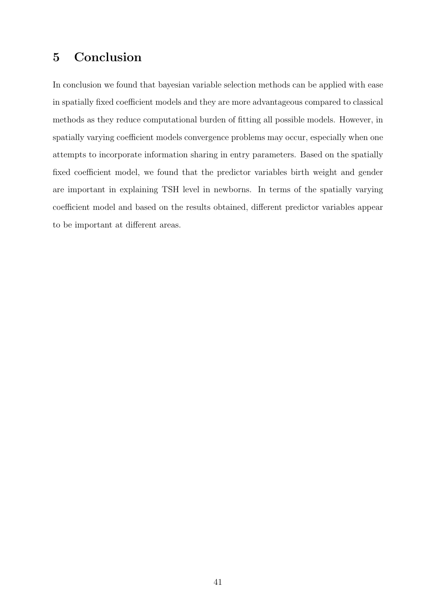### 5 Conclusion

In conclusion we found that bayesian variable selection methods can be applied with ease in spatially fixed coefficient models and they are more advantageous compared to classical methods as they reduce computational burden of fitting all possible models. However, in spatially varying coefficient models convergence problems may occur, especially when one attempts to incorporate information sharing in entry parameters. Based on the spatially fixed coefficient model, we found that the predictor variables birth weight and gender are important in explaining TSH level in newborns. In terms of the spatially varying coefficient model and based on the results obtained, different predictor variables appear to be important at different areas.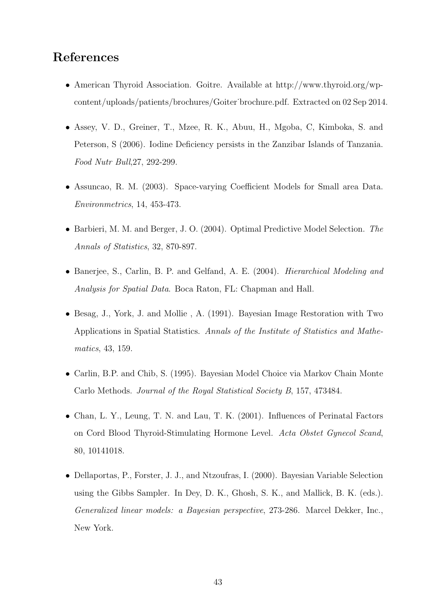### References

- American Thyroid Association. Goitre. Available at http://www.thyroid.org/wpcontent/uploads/patients/brochures/Goiter˙brochure.pdf. Extracted on 02 Sep 2014.
- Assey, V. D., Greiner, T., Mzee, R. K., Abuu, H., Mgoba, C, Kimboka, S. and Peterson, S (2006). Iodine Deficiency persists in the Zanzibar Islands of Tanzania. Food Nutr Bull,27, 292-299.
- Assuncao, R. M. (2003). Space-varying Coefficient Models for Small area Data. Environmetrics, 14, 453-473.
- Barbieri, M. M. and Berger, J. O. (2004). Optimal Predictive Model Selection. The Annals of Statistics, 32, 870-897.
- Banerjee, S., Carlin, B. P. and Gelfand, A. E. (2004). Hierarchical Modeling and Analysis for Spatial Data. Boca Raton, FL: Chapman and Hall.
- Besag, J., York, J. and Mollie , A. (1991). Bayesian Image Restoration with Two Applications in Spatial Statistics. Annals of the Institute of Statistics and Mathematics, 43, 159.
- Carlin, B.P. and Chib, S. (1995). Bayesian Model Choice via Markov Chain Monte Carlo Methods. Journal of the Royal Statistical Society B, 157, 473484.
- Chan, L. Y., Leung, T. N. and Lau, T. K. (2001). Influences of Perinatal Factors on Cord Blood Thyroid-Stimulating Hormone Level. Acta Obstet Gynecol Scand, 80, 10141018.
- Dellaportas, P., Forster, J. J., and Ntzoufras, I. (2000). Bayesian Variable Selection using the Gibbs Sampler. In Dey, D. K., Ghosh, S. K., and Mallick, B. K. (eds.). Generalized linear models: a Bayesian perspective, 273-286. Marcel Dekker, Inc., New York.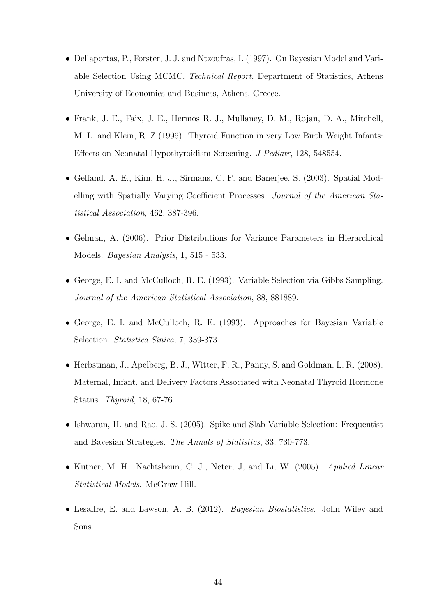- Dellaportas, P., Forster, J. J. and Ntzoufras, I. (1997). On Bayesian Model and Variable Selection Using MCMC. Technical Report, Department of Statistics, Athens University of Economics and Business, Athens, Greece.
- Frank, J. E., Faix, J. E., Hermos R. J., Mullaney, D. M., Rojan, D. A., Mitchell, M. L. and Klein, R. Z (1996). Thyroid Function in very Low Birth Weight Infants: Effects on Neonatal Hypothyroidism Screening. J Pediatr, 128, 548554.
- Gelfand, A. E., Kim, H. J., Sirmans, C. F. and Banerjee, S. (2003). Spatial Modelling with Spatially Varying Coefficient Processes. Journal of the American Statistical Association, 462, 387-396.
- Gelman, A. (2006). Prior Distributions for Variance Parameters in Hierarchical Models. Bayesian Analysis, 1, 515 - 533.
- George, E. I. and McCulloch, R. E. (1993). Variable Selection via Gibbs Sampling. Journal of the American Statistical Association, 88, 881889.
- George, E. I. and McCulloch, R. E. (1993). Approaches for Bayesian Variable Selection. Statistica Sinica, 7, 339-373.
- Herbstman, J., Apelberg, B. J., Witter, F. R., Panny, S. and Goldman, L. R. (2008). Maternal, Infant, and Delivery Factors Associated with Neonatal Thyroid Hormone Status. Thyroid, 18, 67-76.
- Ishwaran, H. and Rao, J. S. (2005). Spike and Slab Variable Selection: Frequentist and Bayesian Strategies. The Annals of Statistics, 33, 730-773.
- Kutner, M. H., Nachtsheim, C. J., Neter, J., and Li, W. (2005). Applied Linear Statistical Models. McGraw-Hill.
- Lesaffre, E. and Lawson, A. B. (2012). Bayesian Biostatistics. John Wiley and Sons.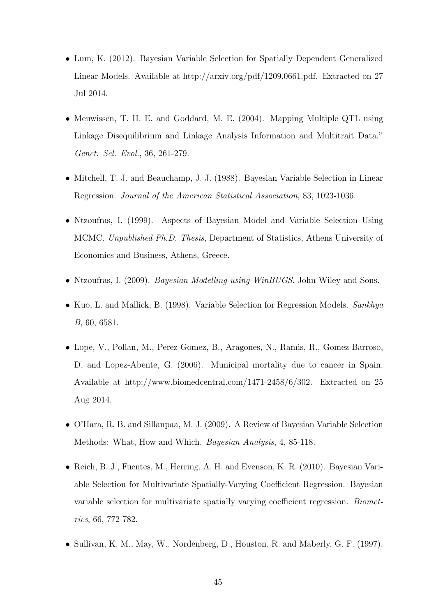- Lum, K. (2012). Bayesian Variable Selection for Spatially Dependent Generalized Linear Models. Available at http://arxiv.org/pdf/1209.0661.pdf. Extracted on 27 Jul 2014.
- Meuwissen, T. H. E. and Goddard, M. E. (2004). Mapping Multiple QTL using Linkage Disequilibrium and Linkage Analysis Information and Multitrait Data." Genet. Sel. Evol., 36, 261-279.
- Mitchell, T. J. and Beauchamp, J. J. (1988). Bayesian Variable Selection in Linear Regression. Journal of the American Statistical Association, 83, 1023-1036.
- Ntzoufras, I. (1999). Aspects of Bayesian Model and Variable Selection Using MCMC. Unpublished Ph.D. Thesis, Department of Statistics, Athens University of Economics and Business, Athens, Greece.
- Ntzoufras, I. (2009). Bayesian Modelling using WinBUGS. John Wiley and Sons.
- Kuo, L. and Mallick, B. (1998). Variable Selection for Regression Models. Sankhya B, 60, 6581.
- Lope, V., Pollan, M., Perez-Gomez, B., Aragones, N., Ramis, R., Gomez-Barroso, D. and Lopez-Abente, G. (2006). Municipal mortality due to cancer in Spain. Available at http://www.biomedcentral.com/1471-2458/6/302. Extracted on 25 Aug 2014.
- O'Hara, R. B. and Sillanpaa, M. J. (2009). A Review of Bayesian Variable Selection Methods: What, How and Which. Bayesian Analysis, 4, 85-118.
- Reich, B. J., Fuentes, M., Herring, A. H. and Evenson, K. R. (2010). Bayesian Variable Selection for Multivariate Spatially-Varying Coefficient Regression. Bayesian variable selection for multivariate spatially varying coefficient regression. Biometrics, 66, 772-782.
- Sullivan, K. M., May, W., Nordenberg, D., Houston, R. and Maberly, G. F. (1997).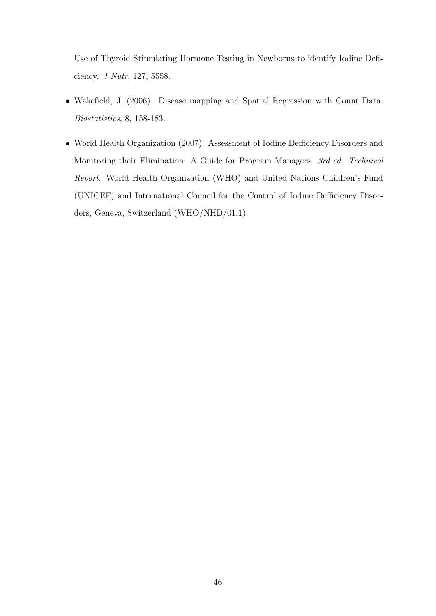Use of Thyroid Stimulating Hormone Testing in Newborns to identify Iodine Deficiency. J Nutr, 127, 5558.

- Wakefield, J. (2006). Disease mapping and Spatial Regression with Count Data. Biostatistics, 8, 158-183.
- World Health Organization (2007). Assessment of Iodine Defficiency Disorders and Monitoring their Elimination: A Guide for Program Managers. 3rd ed. Technical Report. World Health Organization (WHO) and United Nations Children's Fund (UNICEF) and International Council for the Control of Iodine Defficiency Disorders, Geneva, Switzerland (WHO/NHD/01.1).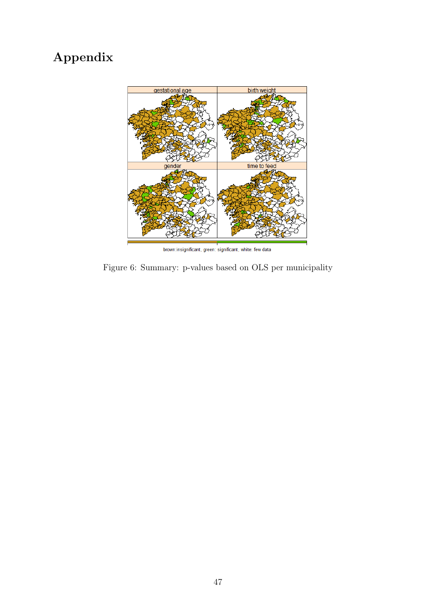### Appendix



brown:insignificant, green: significant, white: few data

Figure 6: Summary: p-values based on OLS per municipality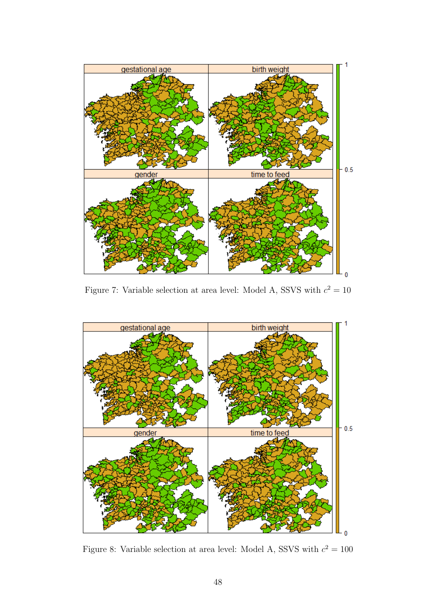

Figure 7: Variable selection at area level: Model A, SSVS with  $c^2 = 10$ 



Figure 8: Variable selection at area level: Model A, SSVS with  $c^2 = 100$